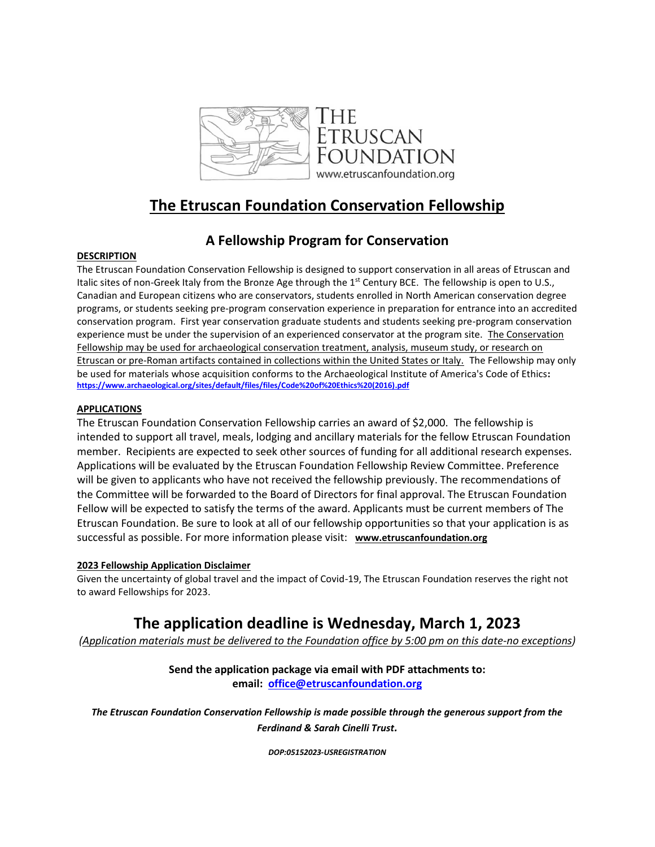

## **The Etruscan Foundation Conservation Fellowship**

## **A Fellowship Program for Conservation**

### **DESCRIPTION**

The Etruscan Foundation Conservation Fellowship is designed to support conservation in all areas of Etruscan and Italic sites of non-Greek Italy from the Bronze Age through the 1<sup>st</sup> Century BCE. The fellowship is open to U.S., Canadian and European citizens who are conservators, students enrolled in North American conservation degree programs, or students seeking pre-program conservation experience in preparation for entrance into an accredited conservation program. First year conservation graduate students and students seeking pre-program conservation experience must be under the supervision of an experienced conservator at the program site. The Conservation Fellowship may be used for archaeological conservation treatment, analysis, museum study, or research on Etruscan or pre-Roman artifacts contained in collections within the United States or Italy. The Fellowship may only be used for materials whose acquisition conforms to the Archaeological Institute of America's Code of Ethics**: [https://www.archaeological.org/sites/default/files/files/Code%20of%20Ethics%20\(2016\).pdf](https://www.archaeological.org/sites/default/files/files/Code%20of%20Ethics%20(2016).pdf)**

## **APPLICATIONS**

The Etruscan Foundation Conservation Fellowship carries an award of \$2,000. The fellowship is intended to support all travel, meals, lodging and ancillary materials for the fellow Etruscan Foundation member. Recipients are expected to seek other sources of funding for all additional research expenses. Applications will be evaluated by the Etruscan Foundation Fellowship Review Committee. Preference will be given to applicants who have not received the fellowship previously. The recommendations of the Committee will be forwarded to the Board of Directors for final approval. The Etruscan Foundation Fellow will be expected to satisfy the terms of the award. Applicants must be current members of The Etruscan Foundation. Be sure to look at all of our fellowship opportunities so that your application is as successful as possible. For more information please visit: **[www.etruscanfoundation.org](https://urldefense.proofpoint.com/v2/url?u=http-3A__www.etruscanfoundation.org&d=DwMGaQ&c=slrrB7dE8n7gBJbeO0g-IQ&r=Or7gZ6tNglm_ZtNiivrz0w&m=6nCJts2RKKLut8dHfeTrOdKUsAUDNtRFRurMgTyoIrC7cx6rrZfLw2NhiFPH7Rvt&s=pnBDkQg0Jbv53xlCS4_QY9soKXYPf2_cPDU15yRIXjI&e=)**

### **2023 Fellowship Application Disclaimer**

Given the uncertainty of global travel and the impact of Covid-19, The Etruscan Foundation reserves the right not to award Fellowships for 2023.

# **The application deadline is Wednesday, March 1, 2023**

*(Application materials must be delivered to the Foundation office by 5:00 pm on this date-no exceptions)*

## **Send the application package via email with PDF attachments to: email: [office@etruscanfoundation.org](mailto:office@etruscanfoundation.org)**

*The Etruscan Foundation Conservation Fellowship is made possible through the generous support from the Ferdinand & Sarah Cinelli Trust.*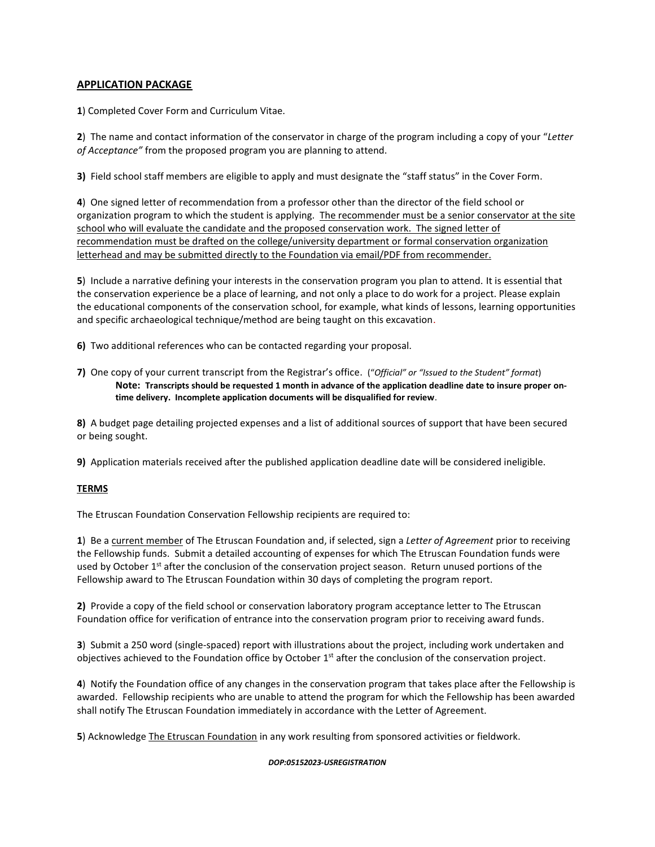### **APPLICATION PACKAGE**

**1**) Completed Cover Form and Curriculum Vitae.

**2**) The name and contact information of the conservator in charge of the program including a copy of your "*Letter of Acceptance"* from the proposed program you are planning to attend.

**3)** Field school staff members are eligible to apply and must designate the "staff status" in the Cover Form.

**4**) One signed letter of recommendation from a professor other than the director of the field school or organization program to which the student is applying. The recommender must be a senior conservator at the site school who will evaluate the candidate and the proposed conservation work. The signed letter of recommendation must be drafted on the college/university department or formal conservation organization letterhead and may be submitted directly to the Foundation via email/PDF from recommender.

**5**) Include a narrative defining your interests in the conservation program you plan to attend. It is essential that the conservation experience be a place of learning, and not only a place to do work for a project. Please explain the educational components of the conservation school, for example, what kinds of lessons, learning opportunities and specific archaeological technique/method are being taught on this excavation.

**6)** Two additional references who can be contacted regarding your proposal.

**7)** One copy of your current transcript from the Registrar's office. ("*Official" or "Issued to the Student" format*) **Note: Transcripts should be requested 1 month in advance of the application deadline date to insure proper ontime delivery. Incomplete application documents will be disqualified for review**.

**8)** A budget page detailing projected expenses and a list of additional sources of support that have been secured or being sought.

**9)** Application materials received after the published application deadline date will be considered ineligible.

### **TERMS**

The Etruscan Foundation Conservation Fellowship recipients are required to:

**1**) Be a current member of The Etruscan Foundation and, if selected, sign a *Letter of Agreement* prior to receiving the Fellowship funds. Submit a detailed accounting of expenses for which The Etruscan Foundation funds were used by October 1<sup>st</sup> after the conclusion of the conservation project season. Return unused portions of the Fellowship award to The Etruscan Foundation within 30 days of completing the program report.

**2)** Provide a copy of the field school or conservation laboratory program acceptance letter to The Etruscan Foundation office for verification of entrance into the conservation program prior to receiving award funds.

**3**) Submit a 250 word (single-spaced) report with illustrations about the project, including work undertaken and objectives achieved to the Foundation office by October  $1<sup>st</sup>$  after the conclusion of the conservation project.

**4**) Notify the Foundation office of any changes in the conservation program that takes place after the Fellowship is awarded. Fellowship recipients who are unable to attend the program for which the Fellowship has been awarded shall notify The Etruscan Foundation immediately in accordance with the Letter of Agreement.

**5**) Acknowledge The Etruscan Foundation in any work resulting from sponsored activities or fieldwork.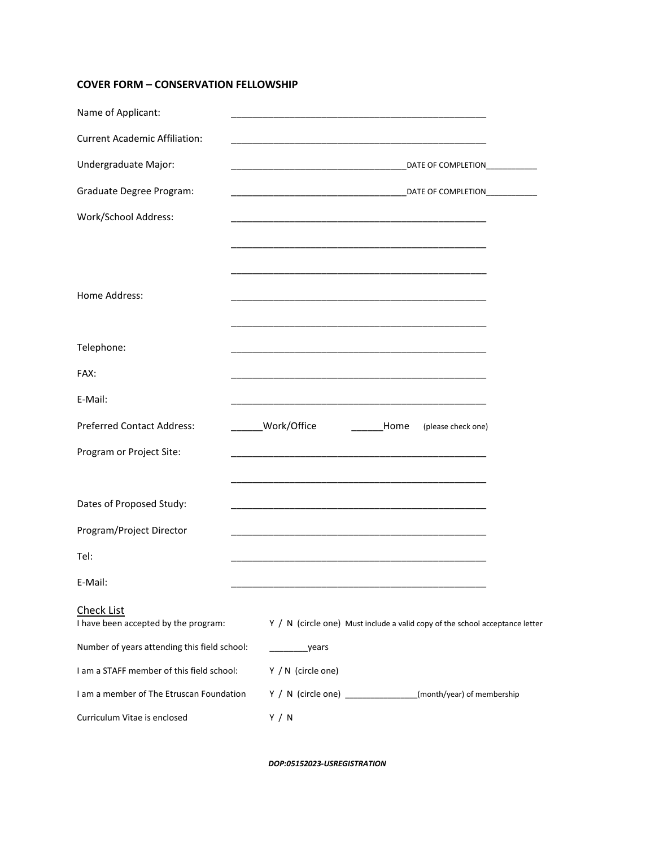## **COVER FORM – CONSERVATION FELLOWSHIP**

| Name of Applicant:                                        |                                                                                         |
|-----------------------------------------------------------|-----------------------------------------------------------------------------------------|
| <b>Current Academic Affiliation:</b>                      |                                                                                         |
| Undergraduate Major:                                      | DATE OF COMPLETION<br><u> 1989 - Johann Barbara, martin da kasar Amerikaan kasar da</u> |
| Graduate Degree Program:                                  | DATE OF COMPLETION                                                                      |
| Work/School Address:                                      |                                                                                         |
|                                                           |                                                                                         |
|                                                           |                                                                                         |
| Home Address:                                             |                                                                                         |
|                                                           |                                                                                         |
| Telephone:                                                |                                                                                         |
| FAX:                                                      |                                                                                         |
| E-Mail:                                                   |                                                                                         |
| <b>Preferred Contact Address:</b>                         | ______Work/Office<br><b>Home</b><br>(please check one)                                  |
| Program or Project Site:                                  |                                                                                         |
|                                                           |                                                                                         |
| Dates of Proposed Study:                                  |                                                                                         |
| Program/Project Director                                  |                                                                                         |
| Tel:                                                      |                                                                                         |
| E-Mail:                                                   |                                                                                         |
| <b>Check List</b><br>I have been accepted by the program: | $Y / N$ (circle one) Must include a valid copy of the school acceptance letter          |
| Number of years attending this field school:              | years                                                                                   |
| I am a STAFF member of this field school:                 | Y / N (circle one)                                                                      |
| I am a member of The Etruscan Foundation                  | Y / N (circle one) _______________(month/year) of membership                            |
| Curriculum Vitae is enclosed                              | Y / N                                                                                   |